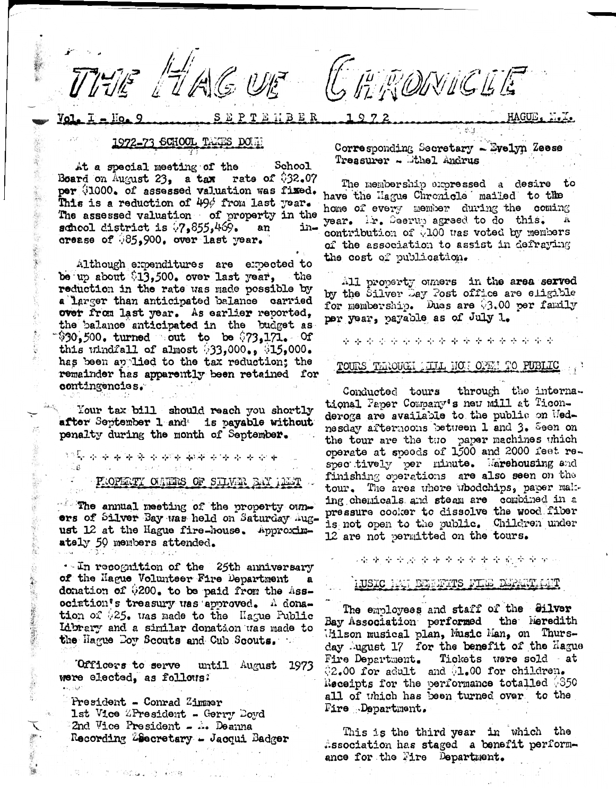BER E

THE HAGUE GRAVICLE

## 1972-73 SCHOOL TAXES DOWN

At a special meeting of the School Board on August 23, a tax rate of  $$32.07$ per (1000. of assessed valuation was fixed. This is a reduction of 49% from last year. The assessed valuation of property in the school district is  $(7.855, 469)$ . an ⊷ונבֿ crease of 35,900. over last year.

Although expenditures are expected to be up about \$13,500. over last year, the . reduction in the rate was made possible by a larger than anticipated balance carried over from last year. As earlier reported, the balance anticipated in the budget as  $$30,500$ , turned out to be  $$73,171$ . Of this windfall of almost  $(33,000, 0.45,000)$ . has been applied to the tax reduction; the remainder has apparently been retained for contingencies.

Your tax bill should reach you shortly after September 1 and is payable without penalty during the month of September.

سلهم المتورد المنهاد المتورد المتورد المتولية والمتورد المتورد المتورد المتورد المتورد المتورد والمتورد والمتورد الأراثات

PROPERTY OUTERS OF SILVER BAY HEAT

The annual meeting of the property ownors of Silver Bay was held on Saturday august 12 at the Hague fire-house. Approximately 50 members attended.

 $\cdot$ -In recognition of the 25th anniversary of the Hague Volunteer Fire Department  $\mathbf{a}$ donation of \$200. to be paid from the Association's treasury was approved. A donation of \$25. was made to the Hague Public Library and a similar donation was made to the Hague Doy Scouts and Cub Scouts.

Officers to serve until August 1973 were elected, as follows:

President - Conrad Zimmer 1st Vice ZPresident - Gerry Doyd 2nd Vice President - A. Deanna Recording Zeecretary - Jacqui Badger

将一、二十三的高山 小 (838)

Corresponding Secretary - Evelyn Zeese Treasurer - thel Andrus

ਿ ਜਾਂ

The membership expressed a desire to have the Hague Chronicle mailed to the home of every member during the coming year. ir. Seerup agreed to do this. contribution of 0100 was voted by members of the association to assist in defraying the cost of publication.

All property ouners in the area served by the Silver Day Post office are eligible for membership. Dues are 03.00 per family per year, payable as of July 1.

\*\*\*\*\*\*\*\*\*\*\*\*\*\*\*\*\*\*

TOURS THROUGH HILL HOT OPEN TO PUBLIC

Conducted tours through the international Paper Company's new mill at Ticonderoga are available to the public on Wednesday afternoons between 1 and 3. Seen on the tour are the two paper machines which operate at speeds of 1500 and 2000 feet respectively per minute. Warehousing and finishing operations are also seen on the tour. The area where whodchips, paper malting chemicals and steam are combined in a pressure cooker to dissolve the wood fiber is not open to the public. Children under 12 are not permitted on the tours.

(全意全学论者)全全全全全意会的中国。

# IUSIC INT DEMONTITS FILE DEPART CIT

The employees and staff of the Silver Bay Association performed the Meredith Milson musical plan, Music Man, on Thursday August 17 for the benefit of the Hague Tickets were sold at Fire Department. 02.00 for adult and 01.00 for children. Receipts for the performance totalled 0350 all of which has been turned over to the Fire Department.

This is the third year in which the .ssociation has staged a benefit performance for the Fire Department.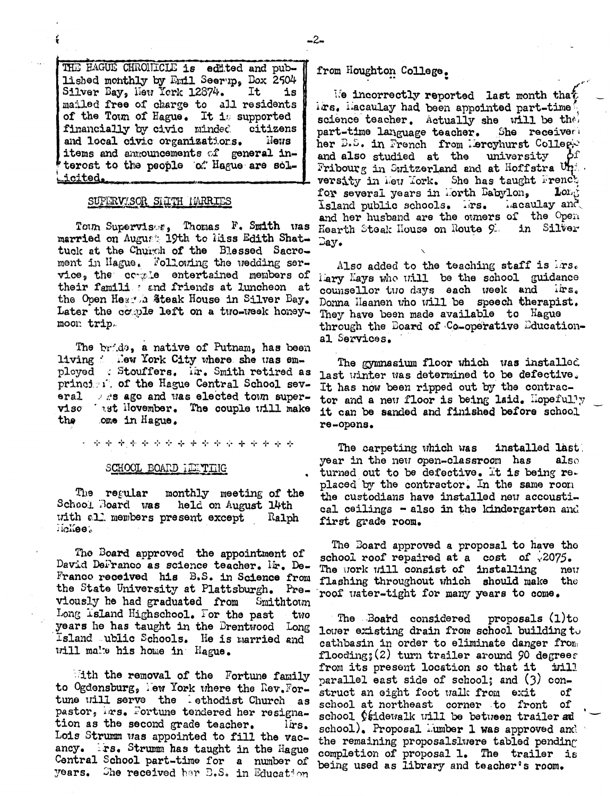THE HAGUE CHRONICLE is edited and published monthly by Emil Seerup, Dox 2504 Silver Bay, New York 12874. It is mailed free of charge to all residents of the Town of Hague. It is supported financially by civic minded citizens and local civic organizations. **News** items and anxouncements of general interost to the people of Hague are sol-.icited.

### SUPERVISOR SILTH HARRIES

Town Supervises, Thomas F. Smith was married on August 19th to liss Edith Shattuck at the Church of the Blessed Sacrement in Hague. Following the wedding service, the comple entertained members of their famili : and friends at luncheon at the Open Hearth Steak House in Silver Bay. Later the couple left on a two-week honeymoon trip.

The bride, a native of Putnam, has been living : New York City where she was employed : Stouffers. Ir. Smith retired as principle. of the Hague Central School several . es ago and was elected town superviso ast Hovember. The couple will make the ome in Hague.

化卡卡卡卡卡卡卡卡卡卡卡卡卡卡卡卡

#### SCHOOL BOARD ILETTIIG

The regular monthly meeting of the School. Board was held on August 14th with all members present except Ralph lichee.

The Board approved the appointment of David DeFranco as science teacher. Mr. De-Franco received his B.S. in Science from the State University at Plattsburgh. Previously he had graduated from Smithtown Long Island Highschool. For the past two years he has taught in the Brentwood Long Island ublic Schools. He is married and will make his home in Hague.

ith the removal of the Fortune family to Ogdensburg, New York where the Rev. Fortune will serve the lethodist Church as pastor, irs. Fortune tendered her resignation as the second grade teacher. lirs. Lois Strumm was appointed to fill the vacancy. Frs. Strumm has taught in the Hague Central School part-time for a number of years. She received her B.S. in Education

from Houghton College.

We incorrectly reported last month that irs. Hacaulay had been appointed part-time science teacher. Actually she will be thei part-time language teacher. She receiver her B.S. in French from Hercyhurst Colleg-Οf and also studied at the university Fribourg in Switzerland and at Hoffstra Uni versity in Heu Tork. She has taught French for several years in Horth Babylon, Long nacaulay and Island public schools. Irs. and her husband are the otmers of the Open Hearth Steak House on Route 9. in Silver  $\Box$ av.

Also added to the teaching staff is irs. liary Kays who will be the school guidance counsellor two days each week and lirs. Donna Haanen who will be speech therapist. They have been made available to Hague through the Board of Co-operative Educational Services.

The gymnasium floor which was installed last winter was determined to be defective. It has now been ripped out by the contractor and a new floor is being laid. Hopefully it can be sanded and finished before school re-opens.

The carpeting which was installed last year in the new open-classroom has also turned out to be defective. It is being replaced by the contractor. In the same room the custodians have installed new accoustical ceilings - also in the kindergarten and first grade room.

The Board approved a proposal to have the school roof repaired at a cost of  $\sqrt{2075}$ . The work will consist of installing neu flashing throughout which should make the roof water-tight for many years to come.

The Board considered proposals (1)to lower existing drain from school building to cathbasin in order to eliminate danger from flooding;  $(2)$  turn trailer around 90 degrees from its present location so that it irill parallel east side of school; and (3) construct an eight foot walk from exit оf school at northeast corner to front of school Osidewalk will be between trailer ad school). Proposal Tumber 1 was approved and the remaining proposalslwere tabled pending completion of proposal 1. The trailer is being used as library and teacher's room.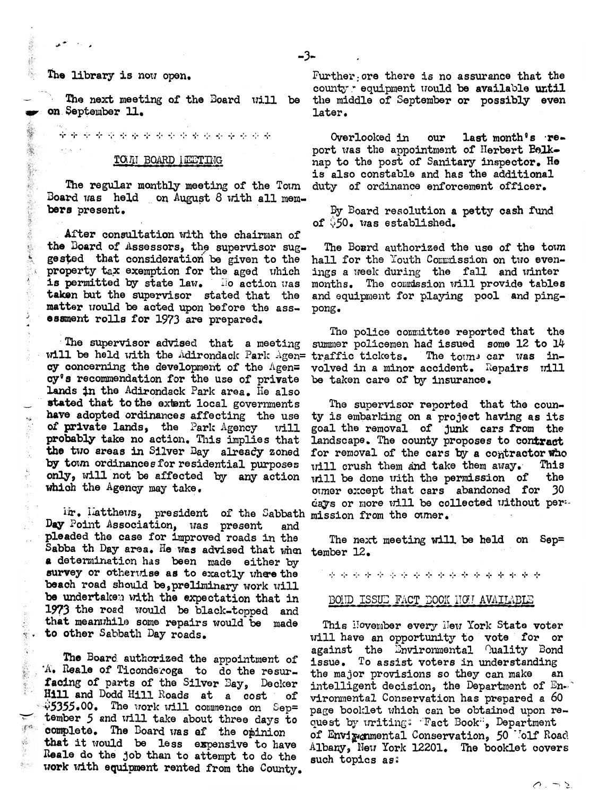# The library is now open.

线盘

 $\mathcal{S}_{\mathbf{S}_{\mathcal{F}}}$ 

美味

巖

 $3 - 25$ 

X.

 $\mathcal{R}^{\mathcal{C}}$  .

죽.

 $\mathcal{E}^{(2)}$ 

藤

 $\frac{1}{2}$ 

The next meeting of the Board will be on September 11.

#### TOUI BOARD INCITING

المؤمن وتواريخها المؤمن وتواريخها المؤمن وتواريخها المؤمن وتواريخها أوتواريخها المؤمن وتواريخها المؤمن أفؤه

The regular monthly meeting of the Town Board was held on August 8 with all members present.

After consultation with the chairman of the Board of Assessors, the supervisor suggested that consideration be given to the property tax exemption for the aged which is permitted by state law. llo action was taken but the supervisor stated that the matter would be acted upon before the assessment rolls for 1973 are prepared.

The supervisor advised that a meeting will be held with the Adirondack Park Agen= traffic tickets. cy concerning the development of the  $\Lambda$ gen= cy's recommendation for the use of private lands in the Adirondack Park area. He also stated that to the extent local governments have adopted ordinances affecting the use of private lands, the Park Agency will probably take no action. This implies that the two areas in Silver Bay already zoned by town ordinances for residential purposes only, will not be affected by any action which the Agency may take.

ir. latthews, president of the Sabbath mission from the owner. Day Point Association, was present and pleaded the case for improved roads in the Sabba th Day area. He was advised that when tember 12. a determination has been made either by survey or otherwise as to exactly where the beach road should be, preliminary work will be undertaken with the expectation that in 1973 the road would be black-topped and that meanwhile some repairs would be made to other Sabbath Day roads.

The Board authorized the appointment of 'A. Reale of Ticonderoga to do the resurfacing of parts of the Silver Bay, Decker Hill and Dodd Hill Roads at a cost იf  $$5355.00$ . The work will commence on Sep= tember 5 and will take about three days to complete. The Board was ef the opinion that it would be less expensive to have Reale do the job than to attempt to do the work with equipment rented from the County. Further ore there is no assurance that the county requipment would be available until the middle of September or possibly even later.

Overlooked in last month's reour port was the appointment of Herbert Belknap to the post of Sanitary inspector. He is also constable and has the additional duty of ordinance enforcement officer.

By Board resolution a petty cash fund of  $950.$  was established.

The Board authorized the use of the town hall for the Youth Commission on two evenings a week during the fall and winter months. The commission will provide tables and equipment for playing pool and pingpong.

The police committee reported that the summer policemen had issued some 12 to 14 The towns car was involved in a minor accident. Repairs will be taken care of by insurance.

The supervisor reported that the county is embarking on a project having as its goal the removal of junk cars from the landscape. The county proposes to contract for removal of the cars by a contractor who will crush them and take them away. This the will be done with the permission of otmer except that cars abandoned for 30 days or more will be collected without per-

The next meeting will be held on Sep=

\* \* \* \* \* \* \* \* \* \* \* \* \* \* \* \* \* \* \*

## BOIID ISSUE FACT DOOK HOW AVAILABLE

This November every New York State voter will have an opportunity to vote for or against the Environmental Quality Bond issue. To assist voters in understanding the major provisions so they can make an intelligent decision, the Department of  $\texttt{En}$ . vironmental Conservation has prepared a 60 page booklet which can be obtained upon request by uriting: "Fact Book", Department of Envirgmental Conservation, 50 Molf Road Albany, New York 12201. The booklet covers such topics as: